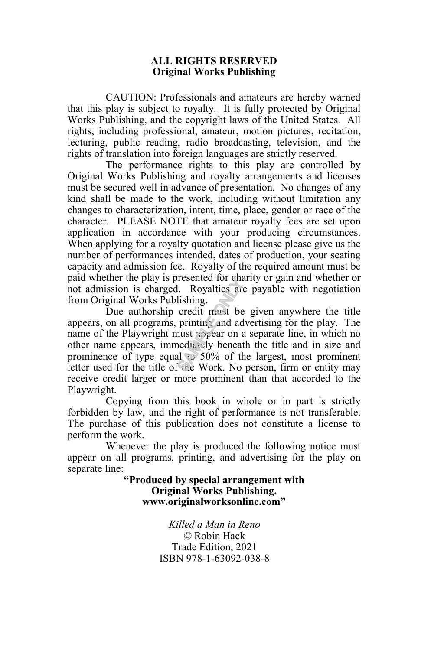### **ALL RIGHTS RESERVED Original Works Publishing**

CAUTION: Professionals and amateurs are hereby warned that this play is subject to royalty. It is fully protected by Original Works Publishing, and the copyright laws of the United States. All rights, including professional, amateur, motion pictures, recitation, lecturing, public reading, radio broadcasting, television, and the rights of translation into foreign languages are strictly reserved.

The performance rights to this play are controlled by Original Works Publishing and royalty arrangements and licenses must be secured well in advance of presentation. No changes of any kind shall be made to the work, including without limitation any changes to characterization, intent, time, place, gender or race of the character. PLEASE NOTE that amateur royalty fees are set upon application in accordance with your producing circumstances. When applying for a royalty quotation and license please give us the number of performances intended, dates of production, your seating capacity and admission fee. Royalty of the required amount must be paid whether the play is presented for charity or gain and whether or not admission is charged. Royalties are payable with negotiation from Original Works Publishing.

Due authorship credit must be given anywhere the title appears, on all programs, printing and advertising for the play. The name of the Playwright must appear on a separate line, in which no other name appears, immediately beneath the title and in size and prominence of type equal to  $50\%$  of the largest, most prominent letter used for the title of the Work. No person, firm or entity may receive credit larger or more prominent than that accorded to the Playwright. Increase<br>Inc. Royalties<br>Incredit must be<br>printing and add<br>nust appear on a<br>nedializy beneat<br>al to 50% of the Work. No

Copying from this book in whole or in part is strictly forbidden by law, and the right of performance is not transferable. The purchase of this publication does not constitute a license to perform the work.

Whenever the play is produced the following notice must appear on all programs, printing, and advertising for the play on separate line:

> **"Produced by special arrangement with Original Works Publishing. www.originalworksonline.com"**

> > *Killed a Man in Reno ©* Robin Hack Trade Edition, 2021 ISBN 978-1-63092-038-8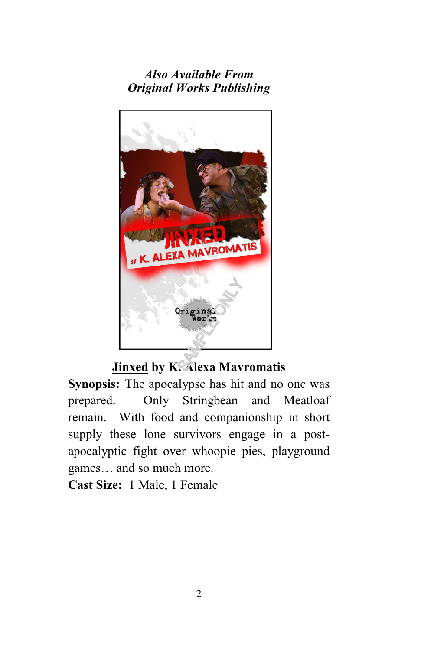# *Also Available From Original Works Publishing*



**Synopsis:** The apocalypse has hit and no one was prepared. Only Stringbean and Meatloaf remain. With food and companionship in short supply these lone survivors engage in a postapocalyptic fight over whoopie pies, playground games… and so much more.

**Cast Size:** 1 Male, 1 Female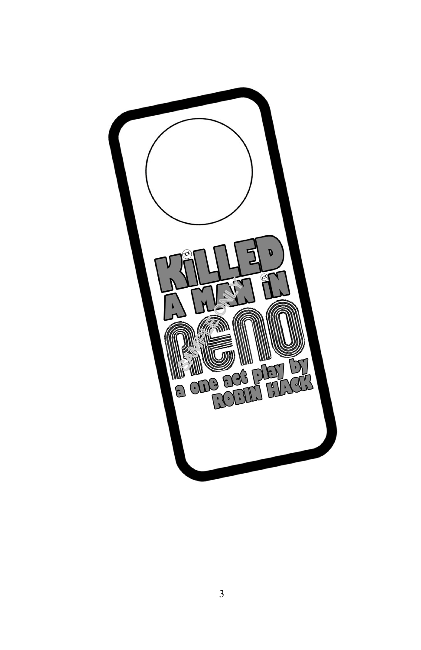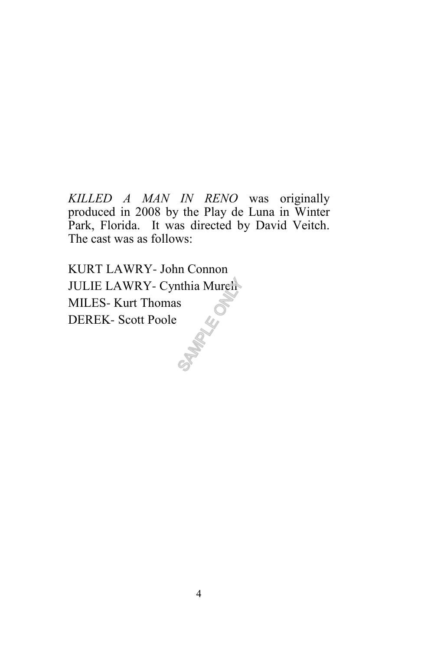*KILLED A MAN IN RENO* was originally produced in 2008 by the Play de Luna in Winter Park, Florida. It was directed by David Veitch. The cast was as follows:

KURT LAWRY- John Connon JULIE LAWRY- Cynthia Murell MILES- Kurt Thomas JULIE LAWRY- Cynthia Mureir<br>MILES- Kurt Thomas<br>DEREK- Scott Poole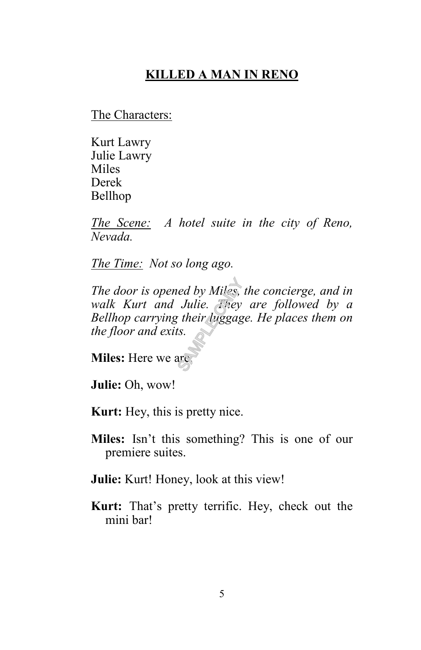## **KILLED A MAN IN RENO**

The Characters:

Kurt Lawry Julie Lawry Miles Derek Bellhop

*The Scene: A hotel suite in the city of Reno, Nevada.* 

*The Time: Not so long ago.* 

*The door is opened by Miles, the concierge, and in walk Kurt and Julie. They are followed by a Bellhop carrying their luggage. He places them on the floor and exits.* ed by Miles,<br>Julie. *They*<br>their luggag<br>ss.<br>are,

**Miles:** Here we are.

**Julie:** Oh, wow!

**Kurt:** Hey, this is pretty nice.

**Miles:** Isn't this something? This is one of our premiere suites.

**Julie:** Kurt! Honey, look at this view!

**Kurt:** That's pretty terrific. Hey, check out the mini bar!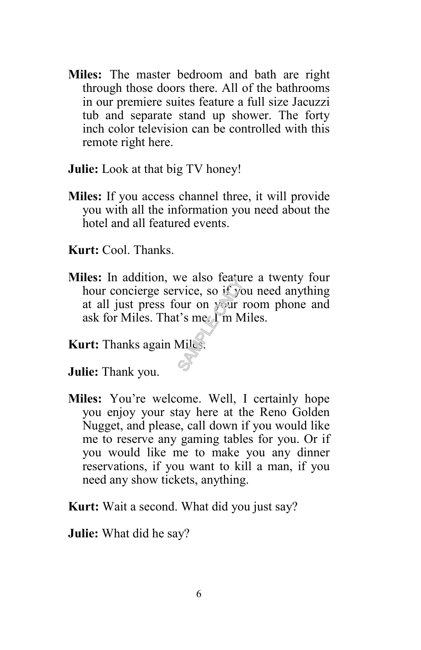**Miles:** The master bedroom and bath are right through those doors there. All of the bathrooms in our premiere suites feature a full size Jacuzzi tub and separate stand up shower. The forty inch color television can be controlled with this remote right here.

**Julie:** Look at that big TV honey!

**Miles:** If you access channel three, it will provide you with all the information you need about the hotel and all featured events.

**Kurt:** Cool. Thanks.

**Miles:** In addition, we also feature a twenty four hour concierge service, so if you need anything<br>hour concierge service, so if you need anything<br>at all just press four on your room phone and<br>ask for Miles. That's me. I'm Miles.<br>**urt:** Thanks again Miles. at all just press four on your room phone and ask for Miles. That's me. I'm Miles.

**Kurt:** Thanks again Miles.

**Julie:** Thank you.

**Miles:** You're welcome. Well, I certainly hope you enjoy your stay here at the Reno Golden Nugget, and please, call down if you would like me to reserve any gaming tables for you. Or if you would like me to make you any dinner reservations, if you want to kill a man, if you need any show tickets, anything.

**Kurt:** Wait a second. What did you just say?

**Julie:** What did he say?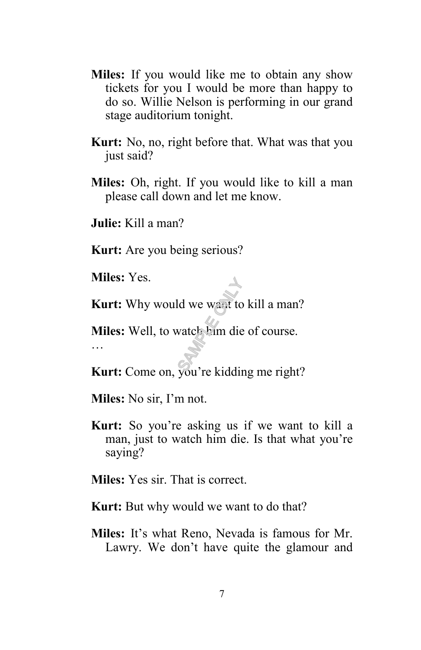- **Miles:** If you would like me to obtain any show tickets for you I would be more than happy to do so. Willie Nelson is performing in our grand stage auditorium tonight.
- **Kurt:** No, no, right before that. What was that you just said?
- **Miles:** Oh, right. If you would like to kill a man please call down and let me know.

**Julie:** Kill a man?

**Kurt:** Are you being serious?

**Miles:** Yes.

…

Kurt: Why would we want to kill a man?

**Miles:** Well, to watch him die of course.  $\frac{1}{2}$ ld we want to vatch him die

**Kurt:** Come on, you're kidding me right?

**Miles:** No sir, I'm not.

**Kurt:** So you're asking us if we want to kill a man, just to watch him die. Is that what you're saying?

**Miles:** Yes sir. That is correct.

**Kurt:** But why would we want to do that?

**Miles:** It's what Reno, Nevada is famous for Mr. Lawry. We don't have quite the glamour and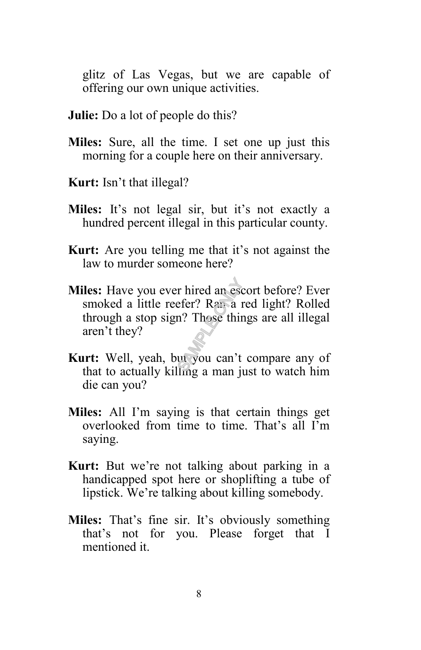glitz of Las Vegas, but we are capable of offering our own unique activities.

- **Julie:** Do a lot of people do this?
- **Miles:** Sure, all the time. I set one up just this morning for a couple here on their anniversary.
- **Kurt:** Isn't that illegal?
- **Miles:** It's not legal sir, but it's not exactly a hundred percent illegal in this particular county.
- **Kurt:** Are you telling me that it's not against the law to murder someone here?
- **Miles:** Have you ever hired an escort before? Ever<br>
smoked a little reefer? Ram a red light? Rolled<br>
through a stop sign? Those things are all illegal<br>
aren't they?<br> **Kurt:** Well, yeah, but you can't compare any of<br>
that smoked a little reefer? Ran a red light? Rolled through a stop sign? Those things are all illegal aren't they?
- **Kurt:** Well, yeah, but you can't compare any of that to actually killing a man just to watch him die can you?
- **Miles:** All I'm saying is that certain things get overlooked from time to time. That's all I'm saying.
- **Kurt:** But we're not talking about parking in a handicapped spot here or shoplifting a tube of lipstick. We're talking about killing somebody.
- **Miles:** That's fine sir. It's obviously something that's not for you. Please forget that I mentioned it.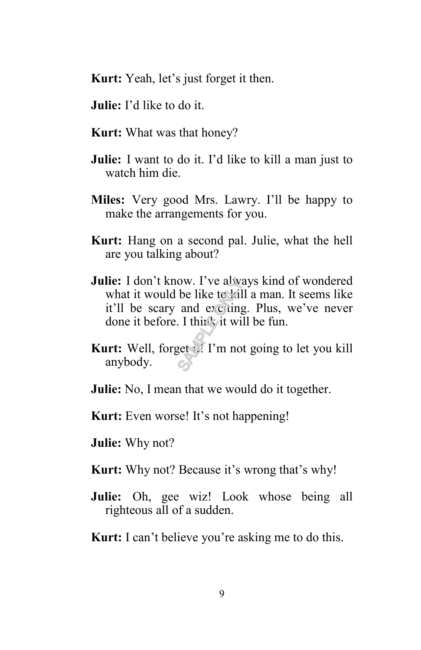**Kurt:** Yeah, let's just forget it then.

- **Julie:** I'd like to do it.
- **Kurt:** What was that honey?
- **Julie:** I want to do it. I'd like to kill a man just to watch him die.
- **Miles:** Very good Mrs. Lawry. I'll be happy to make the arrangements for you.
- **Kurt:** Hang on a second pal. Julie, what the hell are you talking about?
- **Julie:** I don't know. I've always kind of wondered what it would be like to kill a man. It seems like it'll be scary and exciting. Plus, we've never done it before. I think it will be fun. ow. I've alway<br>be like to kill<br>and excluing<br>I think it will<br>get ... I'm no
- **Kurt:** Well, forget if I'm not going to let you kill anybody.
- **Julie:** No, I mean that we would do it together.
- **Kurt:** Even worse! It's not happening!
- **Julie:** Why not?
- **Kurt:** Why not? Because it's wrong that's why!
- **Julie:** Oh, gee wiz! Look whose being all righteous all of a sudden.
- **Kurt:** I can't believe you're asking me to do this.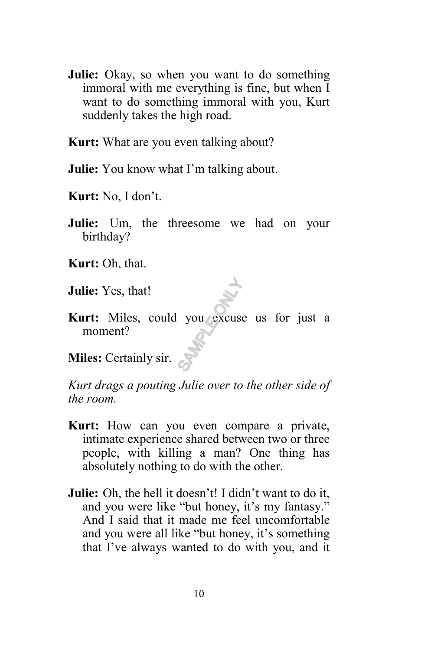**Julie:** Okay, so when you want to do something immoral with me everything is fine, but when I want to do something immoral with you, Kurt suddenly takes the high road.

**Kurt:** What are you even talking about?

**Julie:** You know what I'm talking about.

**Kurt:** No, I don't.

**Julie:** Um, the threesome we had on your birthday?

**Kurt:** Oh, that.

**Julie:** Yes, that!

**Kurt:** Miles, could you excuse us for just a moment? **SAMPLE OF** 

**Miles:** Certainly sir.

*Kurt drags a pouting Julie over to the other side of the room.*

- **Kurt:** How can you even compare a private, intimate experience shared between two or three people, with killing a man? One thing has absolutely nothing to do with the other.
- **Julie:** Oh, the hell it doesn't! I didn't want to do it, and you were like "but honey, it's my fantasy." And I said that it made me feel uncomfortable and you were all like "but honey, it's something that I've always wanted to do with you, and it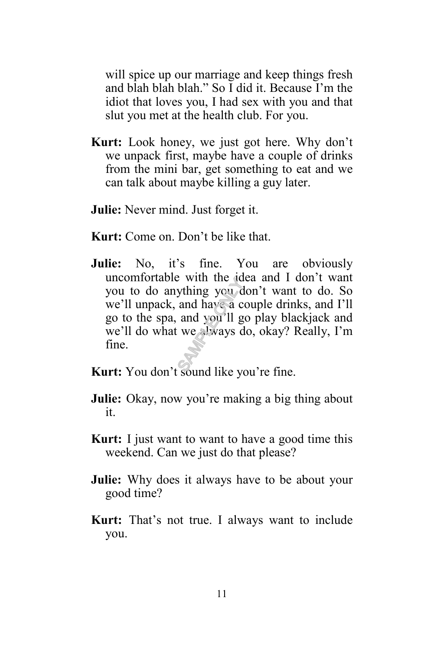will spice up our marriage and keep things fresh and blah blah blah." So I did it. Because I'm the idiot that loves you, I had sex with you and that slut you met at the health club. For you.

- **Kurt:** Look honey, we just got here. Why don't we unpack first, maybe have a couple of drinks from the mini bar, get something to eat and we can talk about maybe killing a guy later.
- **Julie:** Never mind. Just forget it.
- **Kurt:** Come on. Don't be like that.
- **Julie:** No, it's fine. You are obviously uncomfortable with the idea and I don't want meoniotable with the idea and 1 don't want<br>you to do anything you don't want to do. So<br>we'll unpack, and have a couple drinks, and I'll<br>go to the spa, and you'll go play blackjack and<br>we'll do what we always do, okay? Real we'll unpack, and have a couple drinks, and I'll go to the spa, and you'll go play blackjack and we'll do what we always do, okay? Really, I'm fine.
- **Kurt:** You don't sound like you're fine.
- **Julie:** Okay, now you're making a big thing about it.
- **Kurt:** I just want to want to have a good time this weekend. Can we just do that please?
- **Julie:** Why does it always have to be about your good time?
- **Kurt:** That's not true. I always want to include you.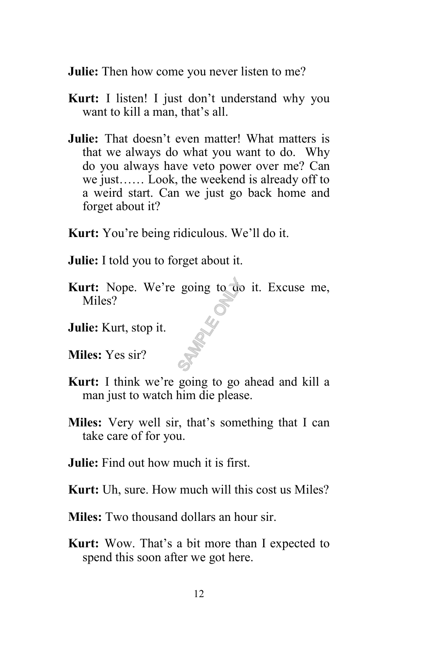**Julie:** Then how come you never listen to me?

- Kurt: I listen! I just don't understand why you want to kill a man, that's all.
- **Julie:** That doesn't even matter! What matters is that we always do what you want to do. Why do you always have veto power over me? Can we just…… Look, the weekend is already off to a weird start. Can we just go back home and forget about it?
- **Kurt:** You're being ridiculous. We'll do it.
- **Julie:** I told you to forget about it.
- **Kurt:** Nope. We're going to do it. Excuse me, Miles?<br> **Julie:** Kurt, stop it.<br> **Miles:** Yes sir? Miles?
- **Julie:** Kurt, stop it.
- **Miles:** Yes sir?
- **Kurt:** I think we're going to go ahead and kill a man just to watch him die please.
- **Miles:** Very well sir, that's something that I can take care of for you.
- **Julie:** Find out how much it is first.
- **Kurt:** Uh, sure. How much will this cost us Miles?
- **Miles:** Two thousand dollars an hour sir.
- **Kurt:** Wow. That's a bit more than I expected to spend this soon after we got here.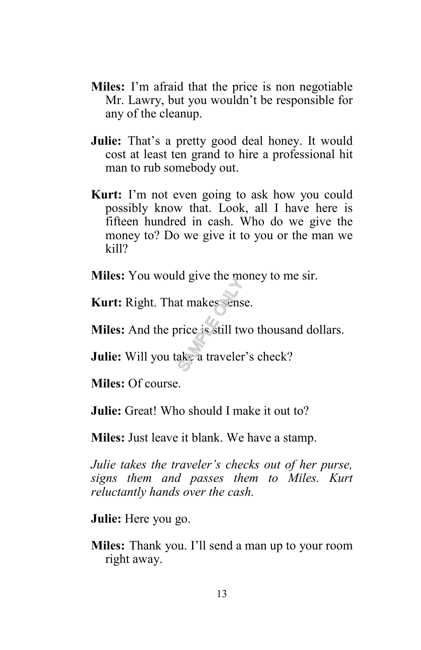- **Miles:** I'm afraid that the price is non negotiable Mr. Lawry, but you wouldn't be responsible for any of the cleanup.
- Julie: That's a pretty good deal honey. It would cost at least ten grand to hire a professional hit man to rub somebody out.
- **Kurt:** I'm not even going to ask how you could possibly know that. Look, all I have here is fifteen hundred in cash. Who do we give the money to? Do we give it to you or the man we kill?

**Miles:** You would give the money to me sir.

**Kurt:** Right. That makes sense.

**Miles:** And the price is still two thousand dollars.

**Julie:** Will you take a traveler's check? at makes sens<br>strice is still tv<br>ake a traveler

**Miles:** Of course.

**Julie:** Great! Who should I make it out to?

**Miles:** Just leave it blank. We have a stamp.

*Julie takes the traveler's checks out of her purse, signs them and passes them to Miles. Kurt reluctantly hands over the cash.*

**Julie:** Here you go.

**Miles:** Thank you. I'll send a man up to your room right away.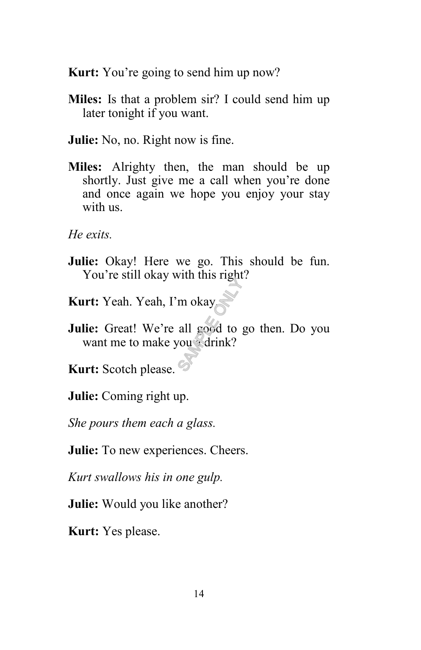**Kurt:** You're going to send him up now?

- **Miles:** Is that a problem sir? I could send him up later tonight if you want.
- **Julie:** No, no. Right now is fine.
- **Miles:** Alrighty then, the man should be up shortly. Just give me a call when you're done and once again we hope you enjoy your stay with us.

*He exits.*

**Julie:** Okay! Here we go. This should be fun. You're still okay with this right?

**Kurt:** Yeah. Yeah, I'm okay.

**Julie:** Great! We're all good to go then. Do you want me to make you a drink? m okay<br>all good to good to good final<br>solume of the same of the same of the same of the same of the same of the same of the same of the same of the<br>same of the same of the same of the same of the same of the same of the sa

**Kurt:** Scotch please.

**Julie:** Coming right up.

*She pours them each a glass.*

**Julie:** To new experiences. Cheers.

*Kurt swallows his in one gulp.*

**Julie:** Would you like another?

**Kurt:** Yes please.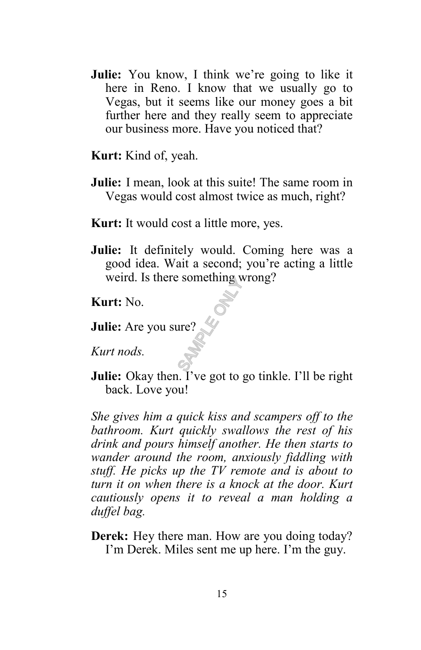- **Julie:** You know, I think we're going to like it here in Reno. I know that we usually go to Vegas, but it seems like our money goes a bit further here and they really seem to appreciate our business more. Have you noticed that?
- **Kurt:** Kind of, yeah.
- **Julie:** I mean, look at this suite! The same room in Vegas would cost almost twice as much, right?
- **Kurt:** It would cost a little more, yes.
- **Julie:** It definitely would. Coming here was a good idea. Wait a second; you're acting a little weird. Is there something wrong?  $\sum_{n=1}^{\infty}$
- **Kurt:** No.
- **Julie:** Are you sure?

*Kurt nods.*

**Julie:** Okay then. I've got to go tinkle. I'll be right back. Love you!

*She gives him a quick kiss and scampers off to the bathroom. Kurt quickly swallows the rest of his drink and pours himself another. He then starts to wander around the room, anxiously fiddling with stuff. He picks up the TV remote and is about to turn it on when there is a knock at the door. Kurt cautiously opens it to reveal a man holding a duffel bag.*

**Derek:** Hey there man. How are you doing today? I'm Derek. Miles sent me up here. I'm the guy.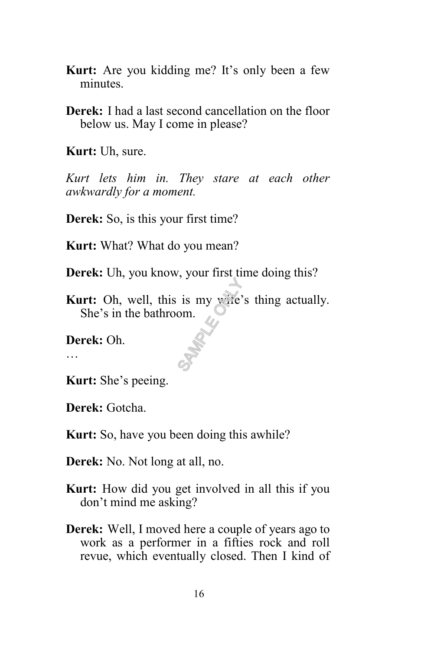- **Kurt:** Are you kidding me? It's only been a few minutes.
- **Derek:** I had a last second cancellation on the floor below us. May I come in please?

**Kurt:** Uh, sure.

*Kurt lets him in. They stare at each other awkwardly for a moment.*

**Derek:** So, is this your first time?

**Kurt:** What? What do you mean?

**Derek:** Uh, you know, your first time doing this?

**Kurt:** Oh, well, this is my wife's thing actually. She's in the bathroom. IS my wife's

**Derek:** Oh.

…

**Kurt:** She's peeing.

**Derek:** Gotcha.

**Kurt:** So, have you been doing this awhile?

**Derek:** No. Not long at all, no.

- **Kurt:** How did you get involved in all this if you don't mind me asking?
- **Derek:** Well, I moved here a couple of years ago to work as a performer in a fifties rock and roll revue, which eventually closed. Then I kind of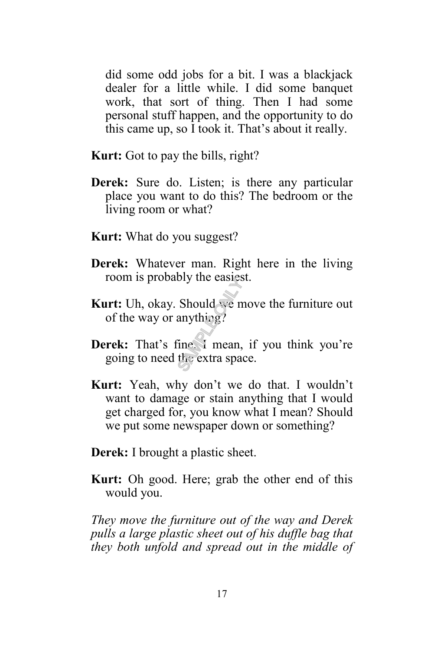did some odd jobs for a bit. I was a blackjack dealer for a little while. I did some banquet work, that sort of thing. Then I had some personal stuff happen, and the opportunity to do this came up, so I took it. That's about it really.

- **Kurt:** Got to pay the bills, right?
- **Derek:** Sure do. Listen; is there any particular place you want to do this? The bedroom or the living room or what?
- **Kurt:** What do you suggest?
- **Derek:** Whatever man. Right here in the living room is probably the easiest.
- **Kurt:** Uh, okay. Should we move the furniture out of the way or anything?
- **Derek:** That's fine. I mean, if you think you're going to need the extra space. Should we n<br>anything?<br>ine. I mean,<br>the extra spa
- **Kurt:** Yeah, why don't we do that. I wouldn't want to damage or stain anything that I would get charged for, you know what I mean? Should we put some newspaper down or something?
- **Derek:** I brought a plastic sheet.
- **Kurt:** Oh good. Here; grab the other end of this would you.

*They move the furniture out of the way and Derek pulls a large plastic sheet out of his duffle bag that they both unfold and spread out in the middle of*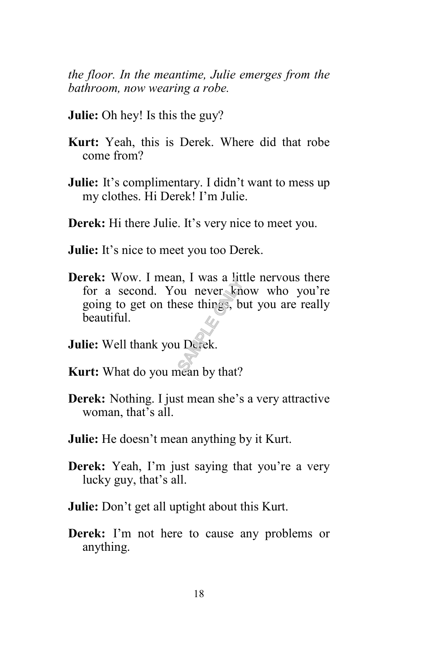*the floor. In the meantime, Julie emerges from the bathroom, now wearing a robe.*

- **Julie:** Oh hey! Is this the guy?
- **Kurt:** Yeah, this is Derek. Where did that robe come from?
- **Julie:** It's complimentary. I didn't want to mess up my clothes. Hi Derek! I'm Julie.
- **Derek:** Hi there Julie. It's very nice to meet you.
- **Julie:** It's nice to meet you too Derek.
- **Derek:** Wow. I mean, I was a little nervous there for a second. You never know who you're going to get on these things, but you are really beautiful.  $\frac{1}{1}$  was a fit<br>but never kness, b<br>ese things, b<br> $\frac{1}{1}$ <br> $\frac{1}{1}$ <br> $\frac{1}{1}$ <br> $\frac{1}{1}$ <br> $\frac{1}{1}$ <br> $\frac{1}{1}$ <br> $\frac{1}{1}$ <br> $\frac{1}{1}$ <br> $\frac{1}{1}$ <br> $\frac{1}{1}$ <br> $\frac{1}{1}$ <br> $\frac{1}{1}$ <br> $\frac{1}{1}$ <br> $\frac{1}{1}$ <br> $\frac{1}{1}$ <br> $\frac{1}{1}$ <br> $\frac{1}{1}$
- **Julie:** Well thank you Derek.
- **Kurt:** What do you mean by that?
- **Derek:** Nothing. I just mean she's a very attractive woman, that's all.
- **Julie:** He doesn't mean anything by it Kurt.
- **Derek:** Yeah, I'm just saying that you're a very lucky guy, that's all.
- **Julie:** Don't get all uptight about this Kurt.
- **Derek:** I'm not here to cause any problems or anything.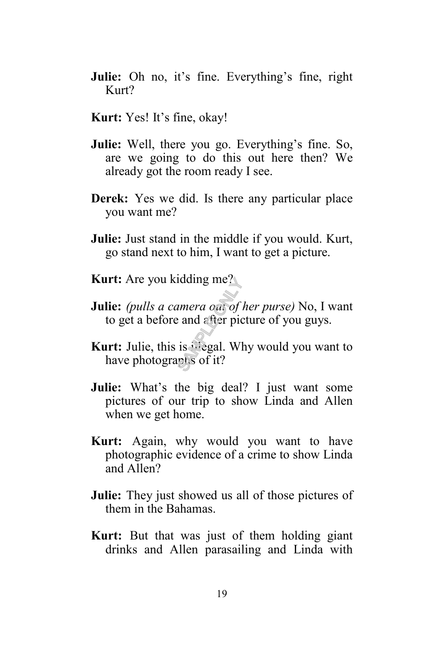- **Julie:** Oh no, it's fine. Everything's fine, right Kurt?
- **Kurt:** Yes! It's fine, okay!
- **Julie:** Well, there you go. Everything's fine. So, are we going to do this out here then? We already got the room ready I see.
- **Derek:** Yes we did. Is there any particular place you want me?
- **Julie:** Just stand in the middle if you would. Kurt, go stand next to him, I want to get a picture.
- **Kurt:** Are you kidding me?
- **Julie:** *(pulls a camera out of her purse)* No, I want to get a before and after picture of you guys. nding me?<br>
umera out of<br>
e and after pic<br>
is tregal. Wh<br>
is tregal. Wh<br>
is of it?
- **Kurt:** Julie, this is **i** legal. Why would you want to have photographs of it?
- **Julie:** What's the big deal? I just want some pictures of our trip to show Linda and Allen when we get home.
- **Kurt:** Again, why would you want to have photographic evidence of a crime to show Linda and Allen?
- **Julie:** They just showed us all of those pictures of them in the Bahamas.
- **Kurt:** But that was just of them holding giant drinks and Allen parasailing and Linda with